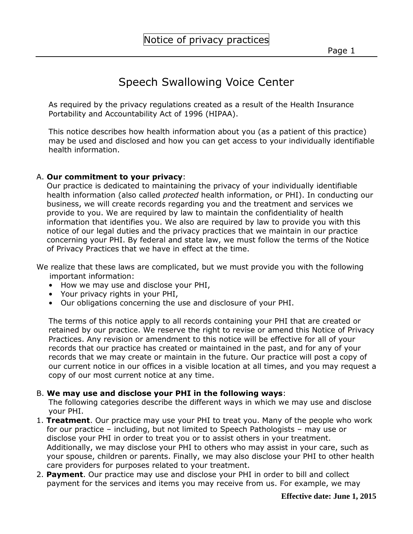## Speech Swallowing Voice Center

As required by the privacy regulations created as a result of the Health Insurance Portability and Accountability Act of 1996 (HIPAA).

This notice describes how health information about you (as a patient of this practice) may be used and disclosed and how you can get access to your individually identifiable health information.

## A. **Our commitment to your privacy**:

 Our practice is dedicated to maintaining the privacy of your individually identifiable health information (also called *protected* health information, or PHI). In conducting our business, we will create records regarding you and the treatment and services we provide to you. We are required by law to maintain the confidentiality of health information that identifies you. We also are required by law to provide you with this notice of our legal duties and the privacy practices that we maintain in our practice concerning your PHI. By federal and state law, we must follow the terms of the Notice of Privacy Practices that we have in effect at the time.

We realize that these laws are complicated, but we must provide you with the following important information:

- How we may use and disclose your PHI,
- Your privacy rights in your PHI,
- Our obligations concerning the use and disclosure of your PHI.

The terms of this notice apply to all records containing your PHI that are created or retained by our practice. We reserve the right to revise or amend this Notice of Privacy Practices. Any revision or amendment to this notice will be effective for all of your records that our practice has created or maintained in the past, and for any of your records that we may create or maintain in the future. Our practice will post a copy of our current notice in our offices in a visible location at all times, and you may request a copy of our most current notice at any time.

## B. **We may use and disclose your PHI in the following ways**:

The following categories describe the different ways in which we may use and disclose your PHI.

- 1. **Treatment**. Our practice may use your PHI to treat you. Many of the people who work for our practice – including, but not limited to Speech Pathologists – may use or disclose your PHI in order to treat you or to assist others in your treatment. Additionally, we may disclose your PHI to others who may assist in your care, such as your spouse, children or parents. Finally, we may also disclose your PHI to other health care providers for purposes related to your treatment.
- 2. **Payment**. Our practice may use and disclose your PHI in order to bill and collect payment for the services and items you may receive from us. For example, we may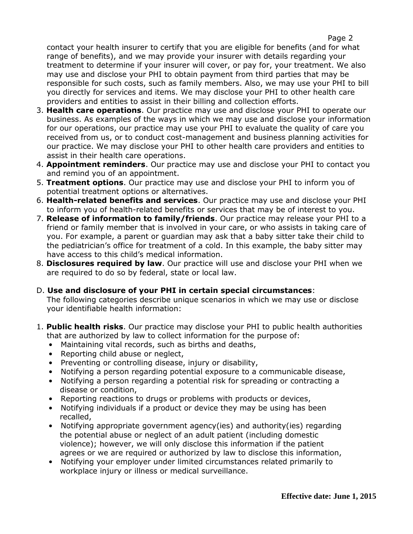contact your health insurer to certify that you are eligible for benefits (and for what range of benefits), and we may provide your insurer with details regarding your treatment to determine if your insurer will cover, or pay for, your treatment. We also may use and disclose your PHI to obtain payment from third parties that may be responsible for such costs, such as family members. Also, we may use your PHI to bill you directly for services and items. We may disclose your PHI to other health care providers and entities to assist in their billing and collection efforts.

- 3. **Health care operations**. Our practice may use and disclose your PHI to operate our business. As examples of the ways in which we may use and disclose your information for our operations, our practice may use your PHI to evaluate the quality of care you received from us, or to conduct cost-management and business planning activities for our practice. We may disclose your PHI to other health care providers and entities to assist in their health care operations.
- 4. **Appointment reminders**. Our practice may use and disclose your PHI to contact you and remind you of an appointment.
- 5. **Treatment options**. Our practice may use and disclose your PHI to inform you of potential treatment options or alternatives.
- 6. **Health-related benefits and services**. Our practice may use and disclose your PHI to inform you of health-related benefits or services that may be of interest to you.
- 7. **Release of information to family/friends**. Our practice may release your PHI to a friend or family member that is involved in your care, or who assists in taking care of you. For example, a parent or guardian may ask that a baby sitter take their child to the pediatrician's office for treatment of a cold. In this example, the baby sitter may have access to this child's medical information.
- 8. **Disclosures required by law**. Our practice will use and disclose your PHI when we are required to do so by federal, state or local law.
- D. **Use and disclosure of your PHI in certain special circumstances**: The following categories describe unique scenarios in which we may use or disclose your identifiable health information:
- 1. **Public health risks**. Our practice may disclose your PHI to public health authorities that are authorized by law to collect information for the purpose of:
	- Maintaining vital records, such as births and deaths,
	- Reporting child abuse or neglect,
	- Preventing or controlling disease, injury or disability,
	- Notifying a person regarding potential exposure to a communicable disease,
	- Notifying a person regarding a potential risk for spreading or contracting a disease or condition,
	- Reporting reactions to drugs or problems with products or devices,
	- Notifying individuals if a product or device they may be using has been recalled,
	- Notifying appropriate government agency(ies) and authority(ies) regarding the potential abuse or neglect of an adult patient (including domestic violence); however, we will only disclose this information if the patient agrees or we are required or authorized by law to disclose this information,
	- Notifying your employer under limited circumstances related primarily to workplace injury or illness or medical surveillance.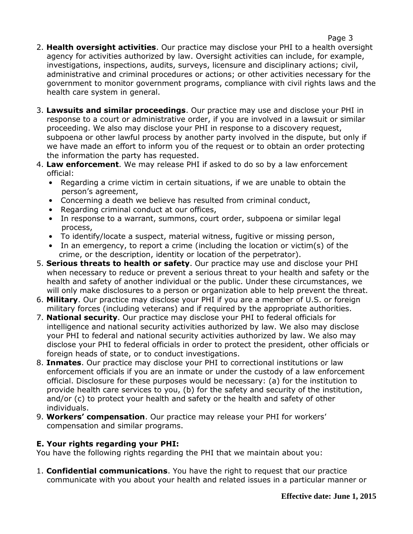- 2. **Health oversight activities**. Our practice may disclose your PHI to a health oversight agency for activities authorized by law. Oversight activities can include, for example, investigations, inspections, audits, surveys, licensure and disciplinary actions; civil, administrative and criminal procedures or actions; or other activities necessary for the government to monitor government programs, compliance with civil rights laws and the health care system in general.
- 3. **Lawsuits and similar proceedings**. Our practice may use and disclose your PHI in response to a court or administrative order, if you are involved in a lawsuit or similar proceeding. We also may disclose your PHI in response to a discovery request, subpoena or other lawful process by another party involved in the dispute, but only if we have made an effort to inform you of the request or to obtain an order protecting the information the party has requested.
- 4. **Law enforcement**. We may release PHI if asked to do so by a law enforcement official:
	- Regarding a crime victim in certain situations, if we are unable to obtain the person's agreement,
	- Concerning a death we believe has resulted from criminal conduct,
	- Regarding criminal conduct at our offices,
	- In response to a warrant, summons, court order, subpoena or similar legal process,
	- To identify/locate a suspect, material witness, fugitive or missing person,
	- In an emergency, to report a crime (including the location or victim(s) of the crime, or the description, identity or location of the perpetrator).
- 5. **Serious threats to health or safety**. Our practice may use and disclose your PHI when necessary to reduce or prevent a serious threat to your health and safety or the health and safety of another individual or the public. Under these circumstances, we will only make disclosures to a person or organization able to help prevent the threat.
- 6. **Military**. Our practice may disclose your PHI if you are a member of U.S. or foreign military forces (including veterans) and if required by the appropriate authorities.
- 7. **National security**. Our practice may disclose your PHI to federal officials for intelligence and national security activities authorized by law. We also may disclose your PHI to federal and national security activities authorized by law. We also may disclose your PHI to federal officials in order to protect the president, other officials or foreign heads of state, or to conduct investigations.
- 8. **Inmates**. Our practice may disclose your PHI to correctional institutions or law enforcement officials if you are an inmate or under the custody of a law enforcement official. Disclosure for these purposes would be necessary: (a) for the institution to provide health care services to you, (b) for the safety and security of the institution, and/or (c) to protect your health and safety or the health and safety of other individuals.
- 9. **Workers' compensation**. Our practice may release your PHI for workers' compensation and similar programs.

## **E. Your rights regarding your PHI:**

You have the following rights regarding the PHI that we maintain about you:

1. **Confidential communications**. You have the right to request that our practice communicate with you about your health and related issues in a particular manner or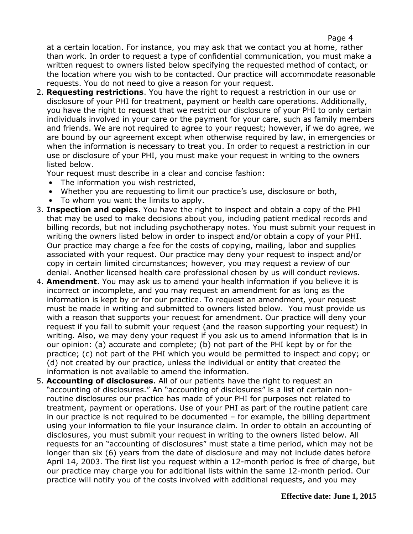at a certain location. For instance, you may ask that we contact you at home, rather than work. In order to request a type of confidential communication, you must make a written request to owners listed below specifying the requested method of contact, or the location where you wish to be contacted. Our practice will accommodate reasonable requests. You do not need to give a reason for your request.

2. **Requesting restrictions**. You have the right to request a restriction in our use or disclosure of your PHI for treatment, payment or health care operations. Additionally, you have the right to request that we restrict our disclosure of your PHI to only certain individuals involved in your care or the payment for your care, such as family members and friends. We are not required to agree to your request; however, if we do agree, we are bound by our agreement except when otherwise required by law, in emergencies or when the information is necessary to treat you. In order to request a restriction in our use or disclosure of your PHI, you must make your request in writing to the owners listed below.

Your request must describe in a clear and concise fashion:

- The information you wish restricted,
- Whether you are requesting to limit our practice's use, disclosure or both,
- To whom you want the limits to apply.
- 3. **Inspection and copies**. You have the right to inspect and obtain a copy of the PHI that may be used to make decisions about you, including patient medical records and billing records, but not including psychotherapy notes. You must submit your request in writing the owners listed below in order to inspect and/or obtain a copy of your PHI. Our practice may charge a fee for the costs of copying, mailing, labor and supplies associated with your request. Our practice may deny your request to inspect and/or copy in certain limited circumstances; however, you may request a review of our denial. Another licensed health care professional chosen by us will conduct reviews.
- 4. **Amendment**. You may ask us to amend your health information if you believe it is incorrect or incomplete, and you may request an amendment for as long as the information is kept by or for our practice. To request an amendment, your request must be made in writing and submitted to owners listed below. You must provide us with a reason that supports your request for amendment. Our practice will deny your request if you fail to submit your request (and the reason supporting your request) in writing. Also, we may deny your request if you ask us to amend information that is in our opinion: (a) accurate and complete; (b) not part of the PHI kept by or for the practice; (c) not part of the PHI which you would be permitted to inspect and copy; or (d) not created by our practice, unless the individual or entity that created the information is not available to amend the information.
- 5. **Accounting of disclosures**. All of our patients have the right to request an "accounting of disclosures." An "accounting of disclosures" is a list of certain non routine disclosures our practice has made of your PHI for purposes not related to treatment, payment or operations. Use of your PHI as part of the routine patient care in our practice is not required to be documented – for example, the billing department using your information to file your insurance claim. In order to obtain an accounting of disclosures, you must submit your request in writing to the owners listed below. All requests for an "accounting of disclosures" must state a time period, which may not be longer than six (6) years from the date of disclosure and may not include dates before April 14, 2003. The first list you request within a 12-month period is free of charge, but our practice may charge you for additional lists within the same 12-month period. Our practice will notify you of the costs involved with additional requests, and you may